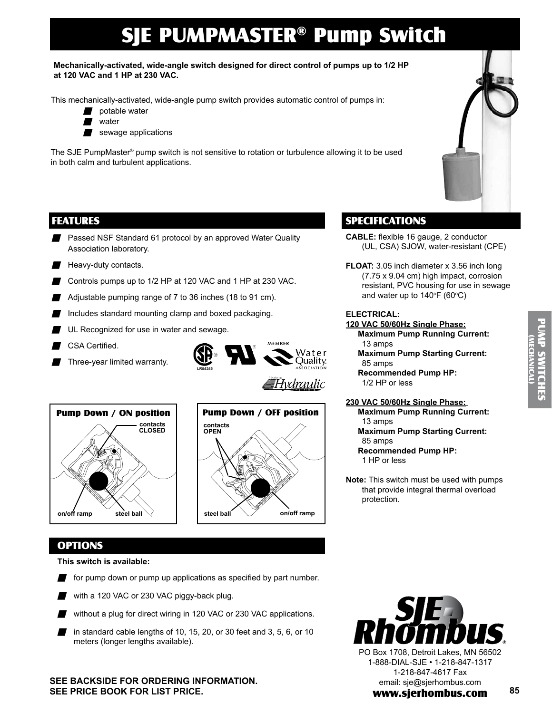# SJE PUMPMASTER® Pump Switch

#### **Mechanically-activated, wide-angle switch designed for direct control of pumps up to 1/2 HP at 120 VAC and 1 HP at 230 VAC.**

This mechanically-activated, wide-angle pump switch provides automatic control of pumps in:

- potable water
- water
- sewage applications

The SJE PumpMaster® pump switch is not sensitive to rotation or turbulence allowing it to be used in both calm and turbulent applications.

# FEATURES

- **Passed NSF Standard 61 protocol by an approved Water Quality** Association laboratory.
- $\blacksquare$  Heavy-duty contacts.
- Controls pumps up to  $1/2$  HP at 120 VAC and 1 HP at 230 VAC.
- Adjustable pumping range of 7 to 36 inches (18 to 91 cm).
- Includes standard mounting clamp and boxed packaging.
- UL Recognized for use in water and sewage.
- CSA Certified.
- Three-year limited warranty.



 $\overline{\mathsf{F}}$ Hydraulic







# SPECIFICATIONS

- **Cable:** flexible 16 gauge, 2 conductor (UL, CSA) SJOW, water-resistant (CPE)
- **FLOAT:** 3.05 inch diameter x 3.56 inch long (7.75 x 9.04 cm) high impact, corrosion resistant, PVC housing for use in sewage and water up to 140 $\mathrm{^{\circ}F}$  (60 $\mathrm{^{\circ}C}$ )

## **Electrical:**

- **120 VAC 50/60Hz Single Phase: Maximum Pump Running Current:** 
	- 13 amps **Maximum Pump Starting Current:**  85 amps
	- **Recommended Pump HP:**  1/2 HP or less

### **230 VAC 50/60Hz Single Phase:**

- **Maximum Pump Running Current:**  13 amps
	- **Maximum Pump Starting Current:**  85 amps
	- **Recommended Pump HP:**  1 HP or less
- **Note:** This switch must be used with pumps that provide integral thermal overload protection.



**This switch is available:**

- $\blacksquare$  for pump down or pump up applications as specified by part number.
- with a 120 VAC or 230 VAC piggy-back plug.
- without a plug for direct wiring in 120 VAC or 230 VAC applications.
- in standard cable lengths of 10, 15, 20, or 30 feet and 3, 5, 6, or 10 meters (longer lengths available).